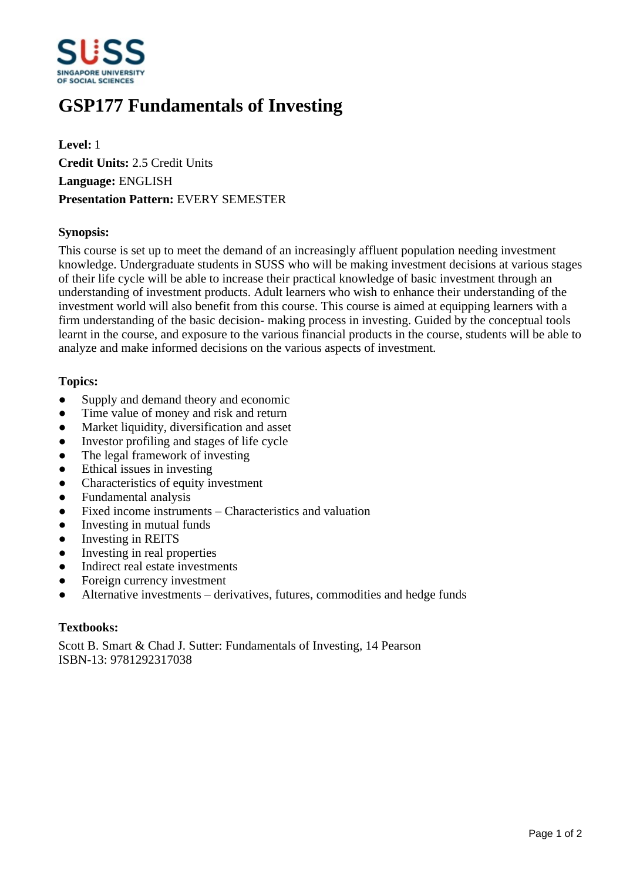

# **GSP177 Fundamentals of Investing**

**Level:** 1 **Credit Units:** 2.5 Credit Units **Language:** ENGLISH **Presentation Pattern:** EVERY SEMESTER

## **Synopsis:**

This course is set up to meet the demand of an increasingly affluent population needing investment knowledge. Undergraduate students in SUSS who will be making investment decisions at various stages of their life cycle will be able to increase their practical knowledge of basic investment through an understanding of investment products. Adult learners who wish to enhance their understanding of the investment world will also benefit from this course. This course is aimed at equipping learners with a firm understanding of the basic decision- making process in investing. Guided by the conceptual tools learnt in the course, and exposure to the various financial products in the course, students will be able to analyze and make informed decisions on the various aspects of investment.

## **Topics:**

- Supply and demand theory and economic
- Time value of money and risk and return
- Market liquidity, diversification and asset
- Investor profiling and stages of life cycle
- The legal framework of investing
- $\bullet$  Ethical issues in investing
- ƔCharacteristics of equity investment
- Fundamental analysis
- $\bullet$  Fixed income instruments  $-$  Characteristics and valuation
- Investing in mutual funds
- Investing in REITS
- Investing in real properties
- Indirect real estate investments
- Foreign currency investment
- Alternative investments derivatives, futures, commodities and hedge funds

#### **Textbooks:**

Scott B. Smart & Chad J. Sutter: Fundamentals of Investing, 14 Pearson ISBN-13: 9781292317038